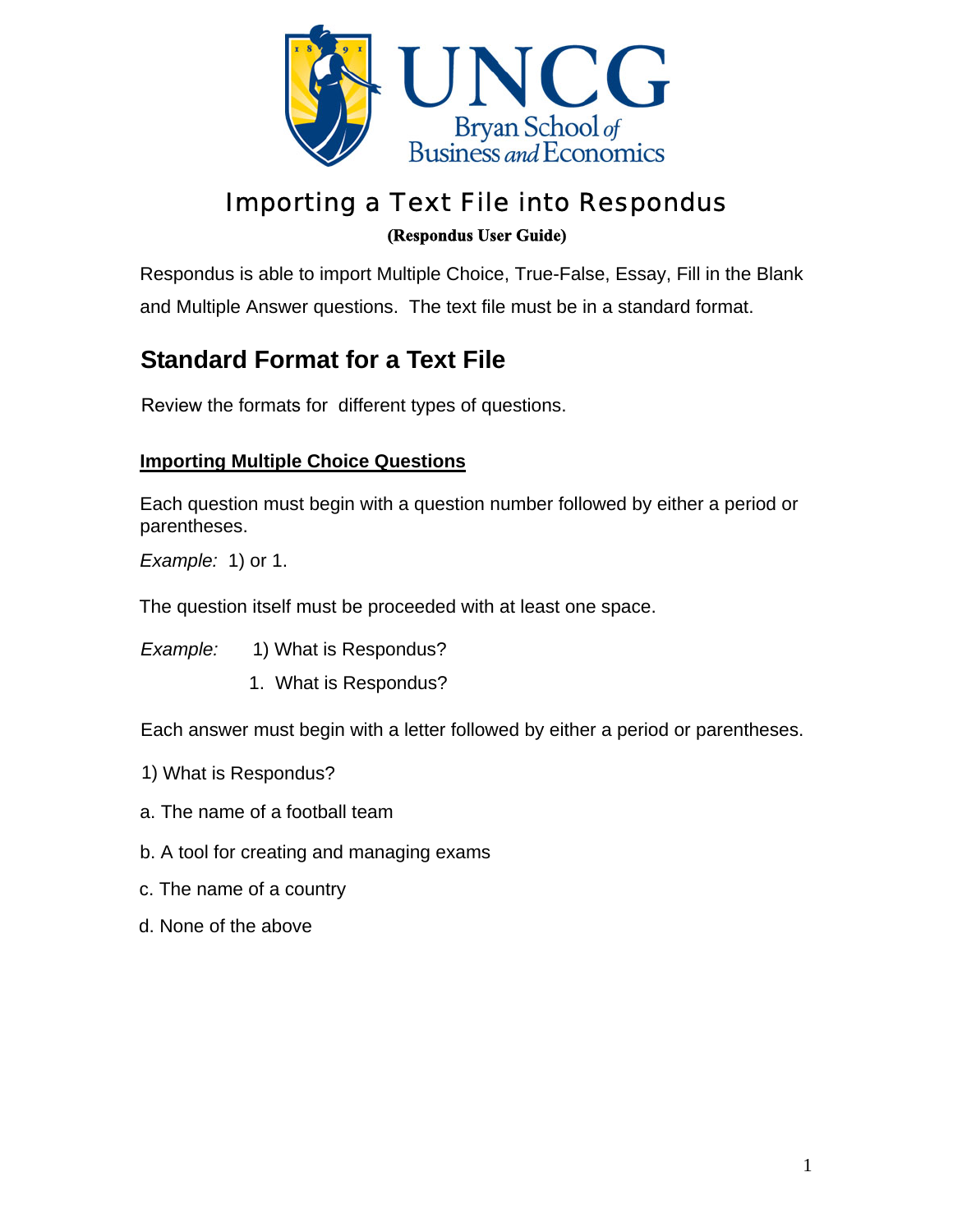

# Importing a Text File into Respondus **(Respondus User Guide)**

Respondus is able to import Multiple Choice, True-False, Essay, Fill in the Blank and Multiple Answer questions. The text file must be in a standard format.

## **Standard Format for a Text File**

Review the formats for different types of questions.

## **Importing Multiple Choice Questions**

Each question must begin with a question number followed by either a period or parentheses.

*Example:* 1) or 1.

The question itself must be proceeded with at least one space.

*Example:* 1) What is Respondus?

1. What is Respondus?

Each answer must begin with a letter followed by either a period or parentheses.

- 1) What is Respondus?
- a. The name of a football team
- b. A tool for creating and managing exams
- c. The name of a country
- d. None of the above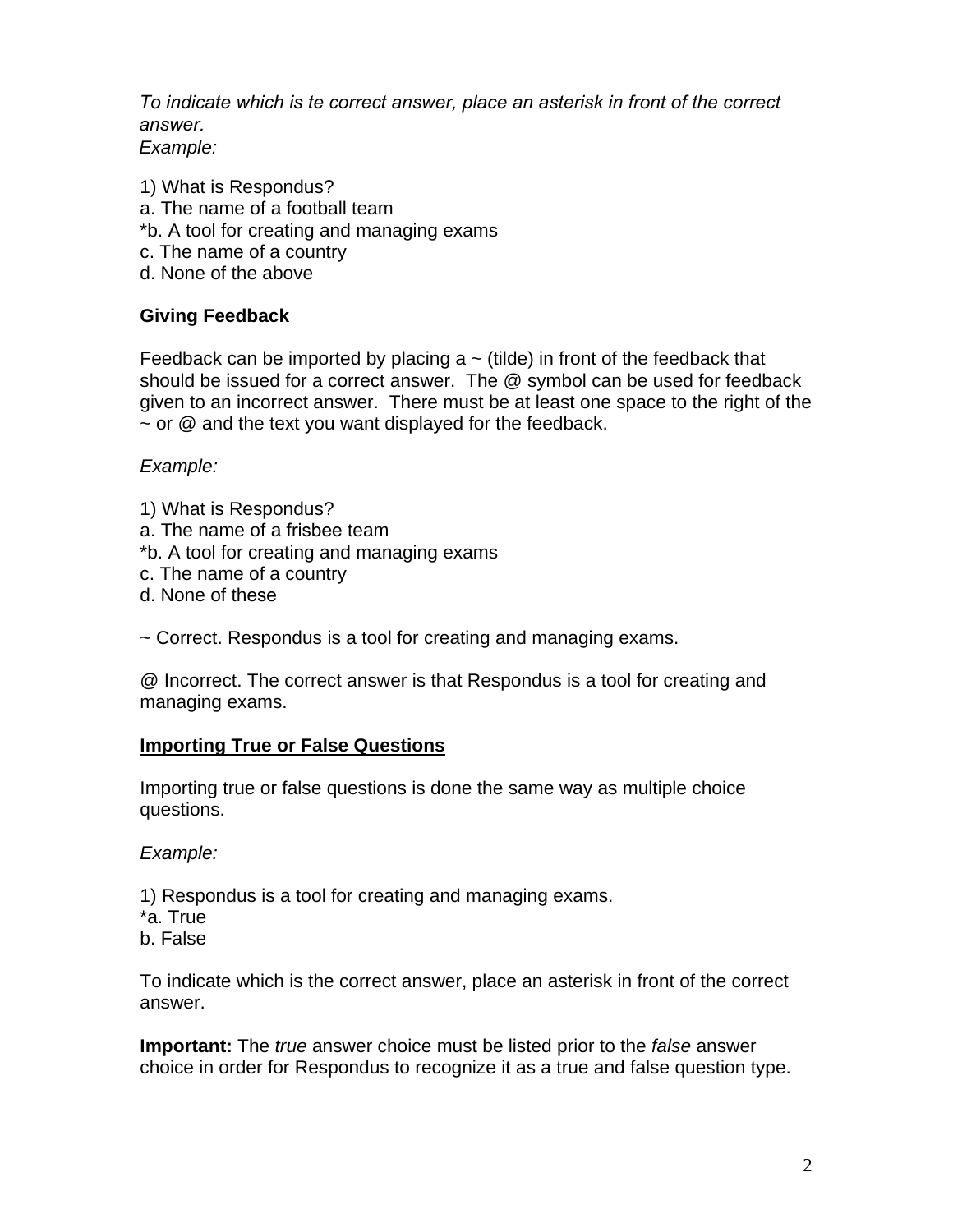*To indicate which is te correct answer, place an asterisk in front of the correct answer. Example:*

1) What is Respondus? a. The name of a football team \*b. A tool for creating and managing exams c. The name of a country d. None of the above

### **Giving Feedback**

Feedback can be imported by placing  $a \sim (t - c)$  in front of the feedback that should be issued for a correct answer. The @ symbol can be used for feedback given to an incorrect answer. There must be at least one space to the right of the  $\sim$  or  $\omega$  and the text you want displayed for the feedback.

*Example:* 

- 1) What is Respondus?
- a. The name of a frisbee team
- \*b. A tool for creating and managing exams
- c. The name of a country
- d. None of these

~ Correct. Respondus is a tool for creating and managing exams.

@ Incorrect. The correct answer is that Respondus is a tool for creating and managing exams.

#### **Importing True or False Questions**

Importing true or false questions is done the same way as multiple choice questions.

*Example:*

- 1) Respondus is a tool for creating and managing exams.
- \*a. True
- b. False

To indicate which is the correct answer, place an asterisk in front of the correct answer.

**Important:** The *true* answer choice must be listed prior to the *false* answer choice in order for Respondus to recognize it as a true and false question type.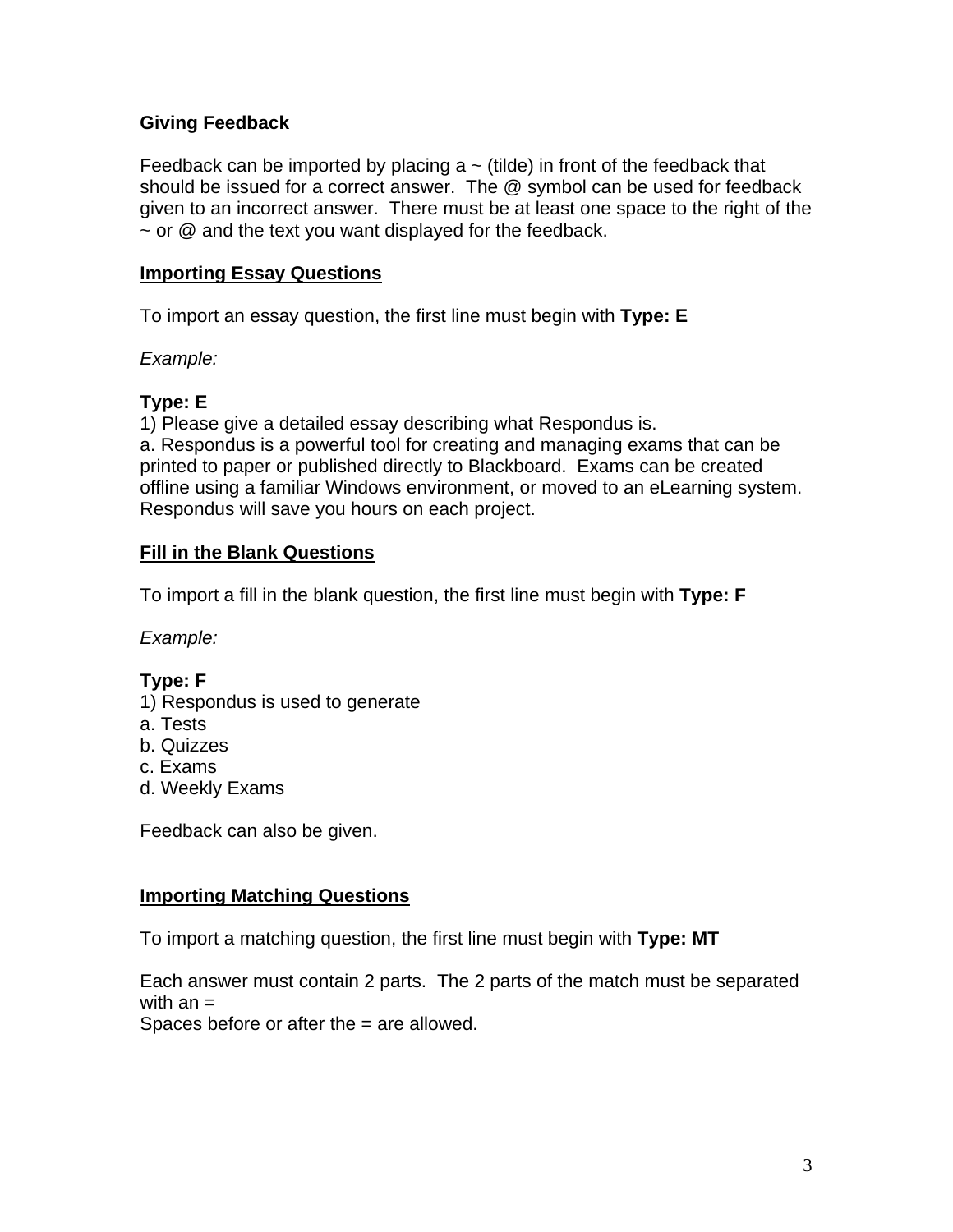#### **Giving Feedback**

Feedback can be imported by placing  $a \sim (t - i)$  in front of the feedback that should be issued for a correct answer. The @ symbol can be used for feedback given to an incorrect answer. There must be at least one space to the right of the  $\sim$  or  $\omega$  and the text you want displayed for the feedback.

#### **Importing Essay Questions**

To import an essay question, the first line must begin with **Type: E**

*Example:*

## **Type: E**

1) Please give a detailed essay describing what Respondus is.

a. Respondus is a powerful tool for creating and managing exams that can be printed to paper or published directly to Blackboard. Exams can be created offline using a familiar Windows environment, or moved to an eLearning system. Respondus will save you hours on each project.

#### **Fill in the Blank Questions**

To import a fill in the blank question, the first line must begin with **Type: F** 

*Example:*

### **Type: F**

- 1) Respondus is used to generate
- a. Tests
- b. Quizzes
- c. Exams
- d. Weekly Exams

Feedback can also be given.

#### **Importing Matching Questions**

To import a matching question, the first line must begin with **Type: MT**

Each answer must contain 2 parts. The 2 parts of the match must be separated with an  $=$ 

Spaces before or after the = are allowed.